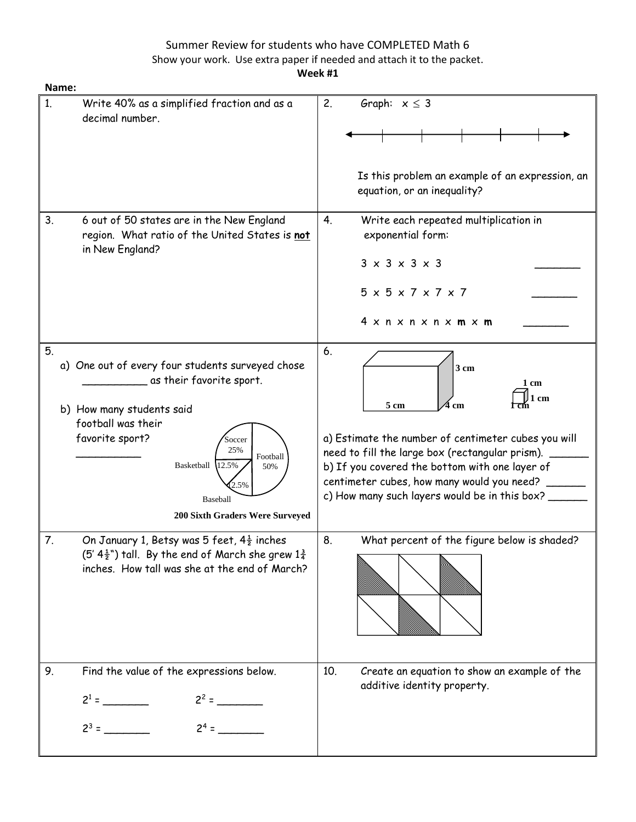# Summer Review for students who have COMPLETED Math 6 Show your work. Use extra paper if needed and attach it to the packet.

**Week #1**

| Name:                                                                                                                                                                                                                                                                      |                                                                                                                                                                                                                                                                                                                |
|----------------------------------------------------------------------------------------------------------------------------------------------------------------------------------------------------------------------------------------------------------------------------|----------------------------------------------------------------------------------------------------------------------------------------------------------------------------------------------------------------------------------------------------------------------------------------------------------------|
| 1.<br>Write 40% as a simplified fraction and as a<br>decimal number.                                                                                                                                                                                                       | 2.<br>Graph: $x \leq 3$<br>Is this problem an example of an expression, an<br>equation, or an inequality?                                                                                                                                                                                                      |
| 3.<br>6 out of 50 states are in the New England<br>region. What ratio of the United States is not<br>in New England?                                                                                                                                                       | Write each repeated multiplication in<br>4.<br>exponential form:<br>$3 \times 3 \times 3 \times 3$<br>$5 \times 5 \times 7 \times 7 \times 7$<br>4 x n x n x n x <b>m</b> x <b>m</b>                                                                                                                           |
| 5.<br>a) One out of every four students surveyed chose<br>as their favorite sport.<br>b) How many students said<br>football was their<br>favorite sport?<br>Soccer<br>25%<br>Football<br>Basketball<br>12.5%<br>50%<br>2.5%<br>Baseball<br>200 Sixth Graders Were Surveyed | 6.<br>3 <sub>cm</sub><br>1 cm<br>1 cm<br>5 cm<br>cm<br>a) Estimate the number of centimeter cubes you will<br>need to fill the large box (rectangular prism).<br>b) If you covered the bottom with one layer of<br>centimeter cubes, how many would you need?<br>c) How many such layers would be in this box? |
| 7.<br>On January 1, Betsy was 5 feet, $4\frac{1}{2}$ inches<br>$(5' 4\frac{1}{2})$ tall. By the end of March she grew $1\frac{3}{4}$<br>inches. How tall was she at the end of March?                                                                                      | 8.<br>What percent of the figure below is shaded?                                                                                                                                                                                                                                                              |
| 9.<br>Find the value of the expressions below.<br>$2^2$ =<br>$2^3 =$                                                                                                                                                                                                       | 10.<br>Create an equation to show an example of the<br>additive identity property.                                                                                                                                                                                                                             |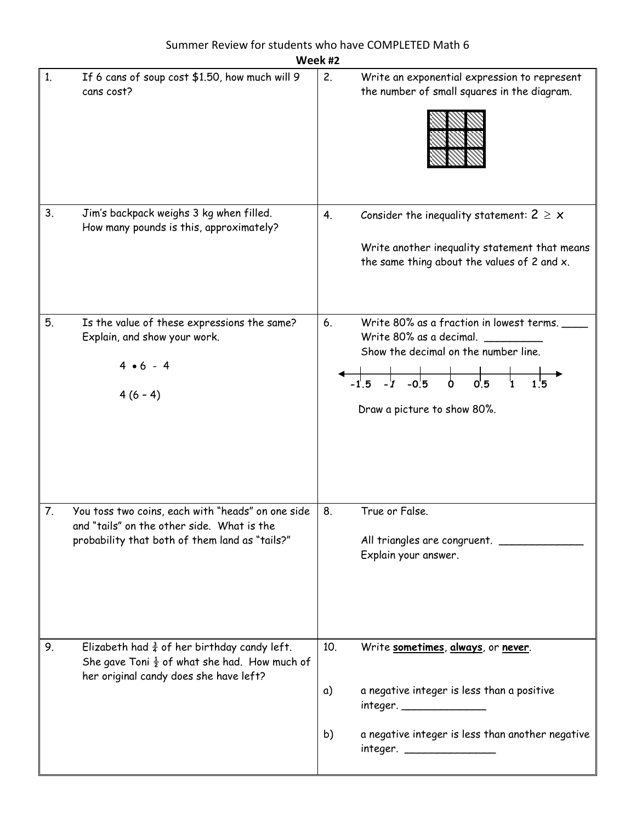| Week #2                                                                                                                                                             |  |                                                                                                                                                                                       |  |  |
|---------------------------------------------------------------------------------------------------------------------------------------------------------------------|--|---------------------------------------------------------------------------------------------------------------------------------------------------------------------------------------|--|--|
| If 6 cans of soup cost \$1.50, how much will 9<br>1.<br>cans cost?                                                                                                  |  | 2.<br>Write an exponential expression to represent<br>the number of small squares in the diagram.                                                                                     |  |  |
| 3.<br>Jim's backpack weighs 3 kg when filled.<br>How many pounds is this, approximately?                                                                            |  | Consider the inequality statement: $2 \geq x$<br>4.<br>Write another inequality statement that means<br>the same thing about the values of 2 and x.                                   |  |  |
| 5.<br>Is the value of these expressions the same?<br>Explain, and show your work.<br>$4 \cdot 6 - 4$<br>$4(6-4)$                                                    |  | Write 80% as a fraction in lowest terms.<br>6.<br>Write 80% as a decimal.<br>Show the decimal on the number line.<br>Draw a picture to show 80%.                                      |  |  |
| You toss two coins, each with "heads" on one side<br>7.<br>and "tails" on the other side. What is the<br>probability that both of them land as "tails?"             |  | 8.<br>True or False.<br>All triangles are congruent.<br>Explain your answer.                                                                                                          |  |  |
| 9.<br>Elizabeth had $\frac{3}{4}$ of her birthday candy left.<br>She gave Toni $\frac{1}{2}$ of what she had. How much of<br>her original candy does she have left? |  | 10.<br>Write sometimes, always, or never.<br>a negative integer is less than a positive<br>a)<br>integer. _________________<br>b)<br>a negative integer is less than another negative |  |  |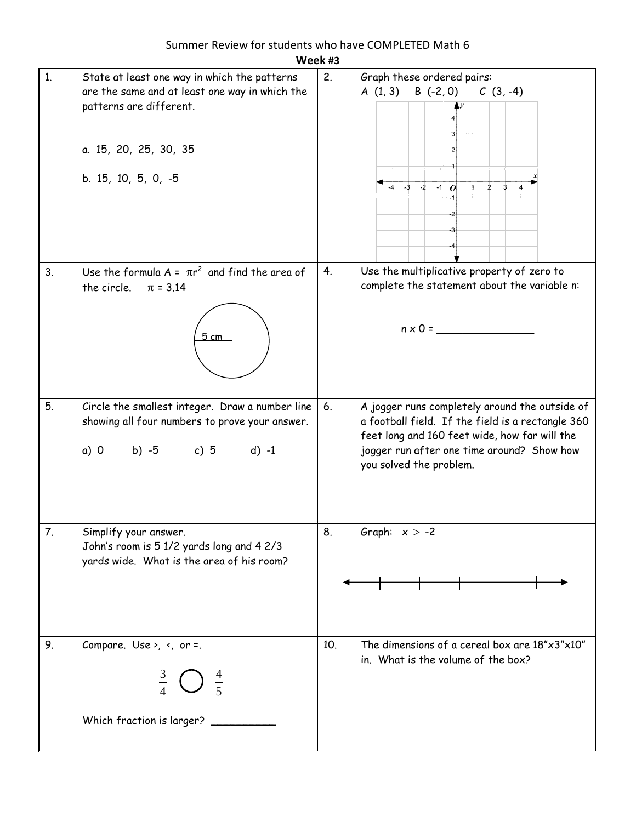|    | Week #3                                                                                                                                                                   |     |                                                                                                                                                                                                                               |  |  |
|----|---------------------------------------------------------------------------------------------------------------------------------------------------------------------------|-----|-------------------------------------------------------------------------------------------------------------------------------------------------------------------------------------------------------------------------------|--|--|
| 1. | State at least one way in which the patterns<br>are the same and at least one way in which the<br>patterns are different.<br>a. 15, 20, 25, 30, 35<br>b. 15, 10, 5, 0, -5 | 2.  | Graph these ordered pairs:<br>A $(1, 3)$ B $(-2, 0)$ C $(3, -4)$<br>Ay<br>$-3$ $-2$<br>$\overline{3}$<br>$-1$<br>$\overline{2}$<br>$\boldsymbol{o}$                                                                           |  |  |
| 3. | Use the formula $A = \pi r^2$ and find the area of<br>the circle. $\pi = 3.14$<br>5 cm                                                                                    | 4.  | Use the multiplicative property of zero to<br>complete the statement about the variable n:<br>$n \times 0 =$                                                                                                                  |  |  |
| 5. | Circle the smallest integer. Draw a number line<br>showing all four numbers to prove your answer.<br>a) 0 b) -5 c) 5 d) -1                                                | 6.  | A jogger runs completely around the outside of<br>a football field. If the field is a rectangle 360<br>feet long and 160 feet wide, how far will the<br>jogger run after one time around? Show how<br>you solved the problem. |  |  |
| 7. | Simplify your answer.<br>John's room is 5 1/2 yards long and 4 2/3<br>yards wide. What is the area of his room?                                                           | 8.  | Graph: $x > -2$                                                                                                                                                                                                               |  |  |
| 9. | Compare. Use >, $\left\langle \right\rangle$ , or =.<br>$\frac{3}{4}$<br>$rac{4}{5}$<br>Which fraction is larger?                                                         | 10. | The dimensions of a cereal box are $18" \times 3" \times 10"$<br>in. What is the volume of the box?                                                                                                                           |  |  |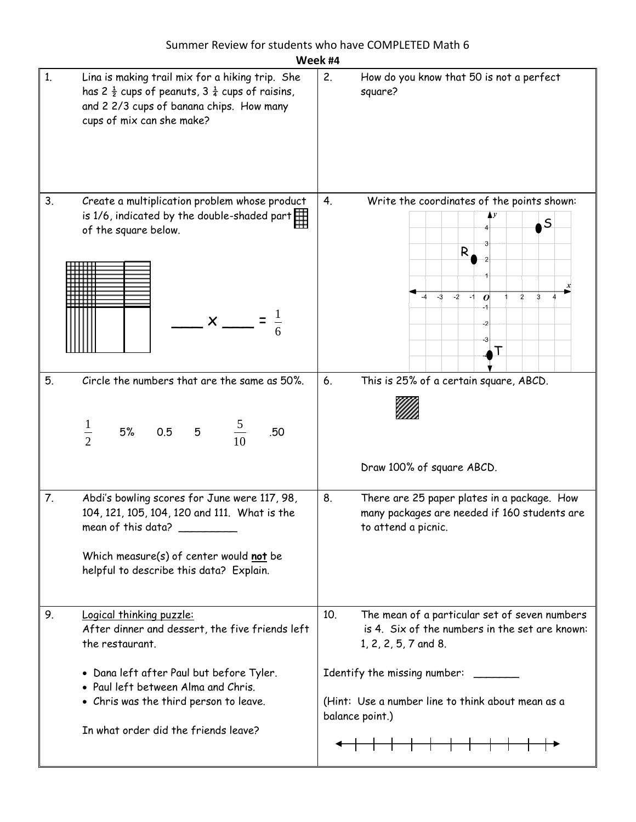| Week #4                                                                                                                                                                                                                                                                   |                                                                                                                                                                                                                                                   |  |  |  |
|---------------------------------------------------------------------------------------------------------------------------------------------------------------------------------------------------------------------------------------------------------------------------|---------------------------------------------------------------------------------------------------------------------------------------------------------------------------------------------------------------------------------------------------|--|--|--|
| 1.<br>Lina is making trail mix for a hiking trip. She<br>has 2 $\frac{1}{2}$ cups of peanuts, 3 $\frac{1}{4}$ cups of raisins,<br>and 2 2/3 cups of banana chips. How many<br>cups of mix can she make?                                                                   | 2.<br>How do you know that 50 is not a perfect<br>square?                                                                                                                                                                                         |  |  |  |
| Create a multiplication problem whose product<br>3.<br>is 1/6, indicated by the double-shaded part $\Box$<br>of the square below.<br>$\mathsf{I} \times \mathsf{I}$                                                                                                       | Write the coordinates of the points shown:<br>4.<br>$\mathsf{S}$<br>R<br>$-2$<br>-3<br>2<br>3<br>$-1$<br>$\boldsymbol{o}$<br>-3<br>Т                                                                                                              |  |  |  |
| Circle the numbers that are the same as 50%.<br>5.<br>$\frac{1}{2}$<br>5% 0.5 5 $\frac{5}{10}$<br>.50                                                                                                                                                                     | 6.<br>This is 25% of a certain square, ABCD.<br>Draw 100% of square ABCD.                                                                                                                                                                         |  |  |  |
| 7.<br>Abdi's bowling scores for June were 117, 98,<br>104, 121, 105, 104, 120 and 111. What is the<br>mean of this data? __________<br>Which measure(s) of center would not be<br>helpful to describe this data? Explain.                                                 | 8.<br>There are 25 paper plates in a package. How<br>many packages are needed if 160 students are<br>to attend a picnic.                                                                                                                          |  |  |  |
| 9.<br>Logical thinking puzzle:<br>After dinner and dessert, the five friends left<br>the restaurant.<br>• Dana left after Paul but before Tyler.<br>• Paul left between Alma and Chris.<br>• Chris was the third person to leave.<br>In what order did the friends leave? | The mean of a particular set of seven numbers<br>10.<br>is 4. Six of the numbers in the set are known:<br>1, 2, 2, 5, 7 and 8.<br>Identify the missing number:<br>(Hint: Use a number line to think about mean as a<br>balance point.)<br>┿═┿═┿═┿ |  |  |  |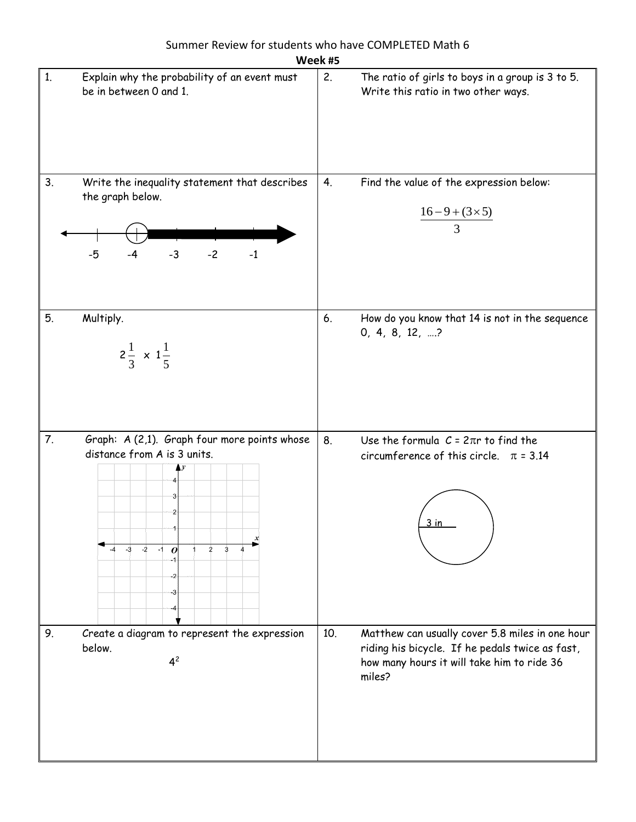| Week #5                                                                                                                                                        |                                                                                                                                                                   |  |  |
|----------------------------------------------------------------------------------------------------------------------------------------------------------------|-------------------------------------------------------------------------------------------------------------------------------------------------------------------|--|--|
| Explain why the probability of an event must<br>1.<br>be in between 0 and 1.                                                                                   | 2.<br>The ratio of girls to boys in a group is 3 to 5.<br>Write this ratio in two other ways.                                                                     |  |  |
| 3.<br>Write the inequality statement that describes<br>the graph below.<br>$-2$<br>$-3$<br>$-5$<br>$-1$<br>$-4$                                                | Find the value of the expression below:<br>4.<br>$\frac{16-9+(3\times5)}{3}$                                                                                      |  |  |
| 5.<br>Multiply.<br>$2\frac{1}{3} \times 1\frac{1}{5}$                                                                                                          | How do you know that 14 is not in the sequence<br>6.<br>$0, 4, 8, 12, $ ?                                                                                         |  |  |
| 7.<br>Graph: A (2,1). Graph four more points whose<br>distance from A is 3 units.<br>з<br>$-2$<br>$-3$<br>$\overline{2}$<br>3<br>$-1$<br>$\boldsymbol{o}$<br>з | 8.<br>Use the formula $C = 2\pi r$ to find the<br>circumference of this circle. $\pi = 3.14$<br>3 in                                                              |  |  |
| Create a diagram to represent the expression<br>9.<br>below.<br>4 <sup>2</sup>                                                                                 | 10.<br>Matthew can usually cover 5.8 miles in one hour<br>riding his bicycle. If he pedals twice as fast,<br>how many hours it will take him to ride 36<br>miles? |  |  |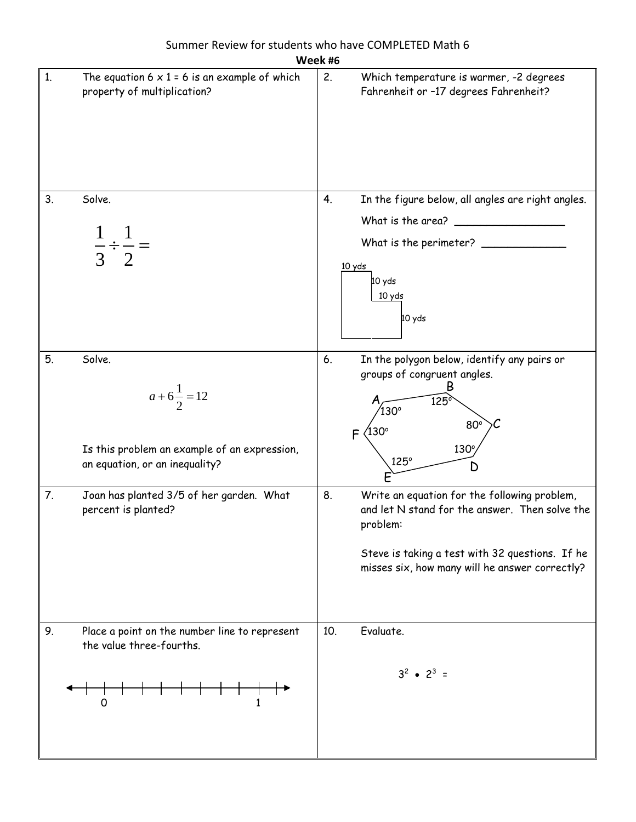|    | Week #6                                                                                                         |                                                                                                                                                                                                                       |  |  |
|----|-----------------------------------------------------------------------------------------------------------------|-----------------------------------------------------------------------------------------------------------------------------------------------------------------------------------------------------------------------|--|--|
| 1. | The equation $6 \times 1 = 6$ is an example of which<br>property of multiplication?                             | 2.<br>Which temperature is warmer, -2 degrees<br>Fahrenheit or -17 degrees Fahrenheit?                                                                                                                                |  |  |
| 3. | Solve.<br>$\frac{\overline{\phantom{0}}}{3}$ $\frac{\overline{}}{2}$                                            | In the figure below, all angles are right angles.<br>4.<br>What is the area?<br>What is the perimeter? ___<br>10 yds<br>10 yds<br>10 yds<br>10 yds                                                                    |  |  |
| 5. | Solve.<br>$a+6\frac{1}{2}=12$<br>Is this problem an example of an expression,<br>an equation, or an inequality? | In the polygon below, identify any pairs or<br>6.<br>groups of congruent angles.<br>Β<br>$\overline{125}$<br>$130^\circ$<br>$80^\circ$<br>′130°<br>F<br>$130^\circ$<br>$125^\circ$<br>D                               |  |  |
| 7. | Joan has planted 3/5 of her garden. What<br>percent is planted?                                                 | Write an equation for the following problem,<br>8.<br>and let N stand for the answer. Then solve the<br>problem:<br>Steve is taking a test with 32 questions. If he<br>misses six, how many will he answer correctly? |  |  |
| 9. | Place a point on the number line to represent<br>the value three-fourths.<br>0<br>1                             | 10 <sub>1</sub><br>Evaluate.<br>$3^2$ • $2^3$ =                                                                                                                                                                       |  |  |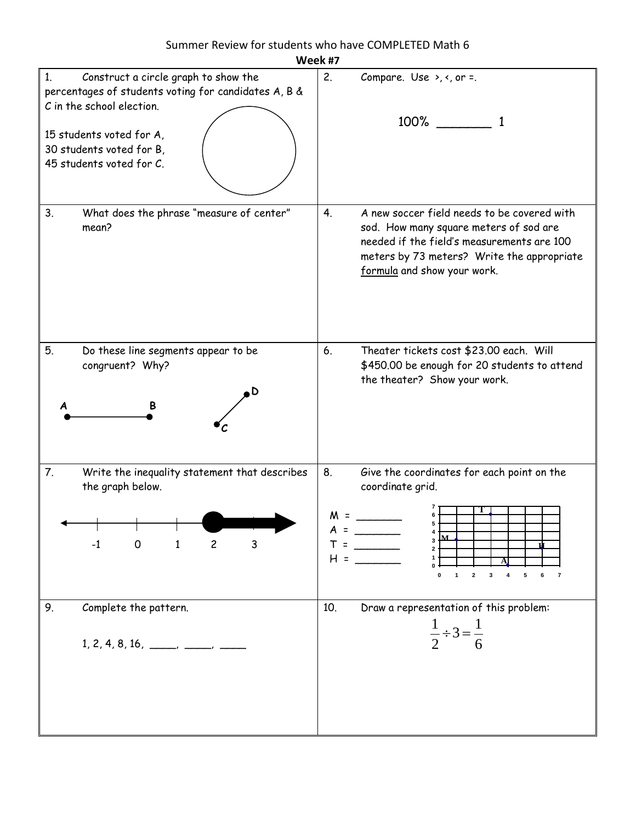| Week #7                                                                                                                                                                                                                         |                                                                                                                                                                                                                                    |
|---------------------------------------------------------------------------------------------------------------------------------------------------------------------------------------------------------------------------------|------------------------------------------------------------------------------------------------------------------------------------------------------------------------------------------------------------------------------------|
| Construct a circle graph to show the<br>1 <sub>1</sub><br>percentages of students voting for candidates A, B &<br>C in the school election.<br>15 students voted for A,<br>30 students voted for B,<br>45 students voted for C. | 2.<br>Compare. Use $\rightarrow$ , $\leftarrow$ , or =.<br>100%                                                                                                                                                                    |
| 3.<br>What does the phrase "measure of center"<br>mean?                                                                                                                                                                         | A new soccer field needs to be covered with<br>4 <sub>1</sub><br>sod. How many square meters of sod are<br>needed if the field's measurements are 100<br>meters by 73 meters? Write the appropriate<br>formula and show your work. |
| 5.<br>Do these line segments appear to be<br>congruent? Why?<br>٠D                                                                                                                                                              | 6.<br>Theater tickets cost \$23.00 each. Will<br>\$450.00 be enough for 20 students to attend<br>the theater? Show your work.                                                                                                      |
| 7.<br>Write the inequality statement that describes<br>the graph below.<br><b>The Committee of the Committee of the Committee</b><br>$-1$<br>0<br>$\overline{c}$<br>3<br>1                                                      | 8.<br>Give the coordinates for each point on the<br>coordinate grid.<br>M.<br>A<br>3<br>$T =$<br>$\overline{2}$<br>$H =$<br>$\mathbf 2$<br>5<br>$\pmb{4}$<br>6<br>0<br>$\mathbf{1}$<br>3<br>$\overline{\mathbf{r}}$                |
| Complete the pattern.<br>9.<br>$1, 2, 4, 8, 16, \_\_\_\_\_$                                                                                                                                                                     | Draw a representation of this problem:<br>10.<br>$\frac{1}{2} \div 3 = \frac{1}{6}$                                                                                                                                                |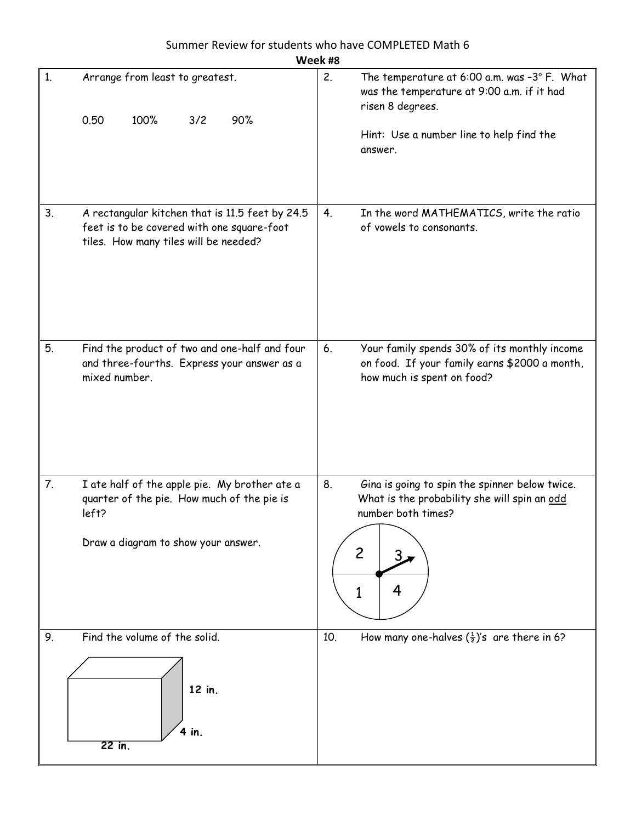#### Summer Review for students who have COMPLETED Math 6 **Week #8**

|    | Week #8                                                                                                                                     |                                                                                                                                                                                        |  |  |  |
|----|---------------------------------------------------------------------------------------------------------------------------------------------|----------------------------------------------------------------------------------------------------------------------------------------------------------------------------------------|--|--|--|
| 1. | Arrange from least to greatest.<br>0.50<br>100%<br>3/2<br>90%                                                                               | 2.<br>The temperature at $6:00$ a.m. was $-3^{\circ}$ F. What<br>was the temperature at 9:00 a.m. if it had<br>risen 8 degrees.<br>Hint: Use a number line to help find the<br>answer. |  |  |  |
| 3. | A rectangular kitchen that is 11.5 feet by 24.5<br>feet is to be covered with one square-foot<br>tiles. How many tiles will be needed?      | In the word MATHEMATICS, write the ratio<br>4.<br>of vowels to consonants.                                                                                                             |  |  |  |
| 5. | Find the product of two and one-half and four<br>and three-fourths. Express your answer as a<br>mixed number.                               | 6.<br>Your family spends 30% of its monthly income<br>on food. If your family earns \$2000 a month,<br>how much is spent on food?                                                      |  |  |  |
| 7. | I ate half of the apple pie. My brother ate a<br>quarter of the pie. How much of the pie is<br>left?<br>Draw a diagram to show your answer. | 8.<br>Gina is going to spin the spinner below twice.<br>What is the probability she will spin an odd<br>number both times?<br>$\overline{c}$<br>3.<br>4<br>1                           |  |  |  |
| 9. | Find the volume of the solid.<br>12 in.<br>4 in.<br>$22$ in.                                                                                | How many one-halves $(\frac{1}{2})$ 's are there in 6?<br>10.                                                                                                                          |  |  |  |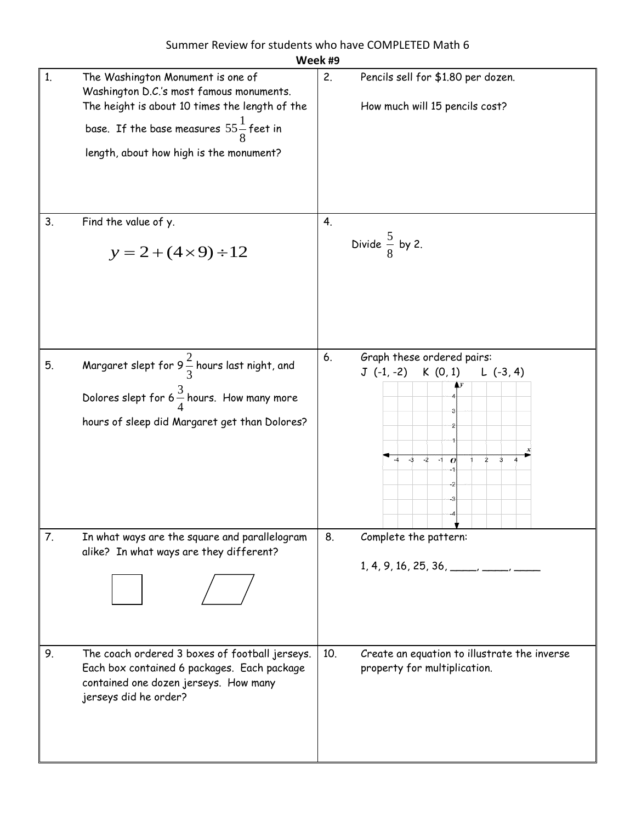|    | Week #9                                                                                                                                                                                                                          |                                                                                                                                                  |  |  |
|----|----------------------------------------------------------------------------------------------------------------------------------------------------------------------------------------------------------------------------------|--------------------------------------------------------------------------------------------------------------------------------------------------|--|--|
| 1. | The Washington Monument is one of<br>Washington D.C.'s most famous monuments.<br>The height is about 10 times the length of the<br>base. If the base measures $55\frac{1}{8}$ feet in<br>length, about how high is the monument? | 2.<br>Pencils sell for \$1.80 per dozen.<br>How much will 15 pencils cost?                                                                       |  |  |
| 3. | Find the value of y.<br>$y = 2 + (4 \times 9) \div 12$                                                                                                                                                                           | 4.<br>Divide $\frac{5}{8}$ by 2.                                                                                                                 |  |  |
| 5. | Margaret slept for 9 $\frac{2}{3}$ hours last night, and<br>Dolores slept for 6 $\frac{3}{4}$ hours. How many more<br>hours of sleep did Margaret get than Dolores?                                                              | Graph these ordered pairs:<br>6.<br>$J(-1,-2)$<br>K(0, 1)<br>$L(-3, 4)$<br>$-3$<br>$-2$<br>$-1$<br>$\overline{2}$<br>3<br>$\boldsymbol{o}$<br>-2 |  |  |
| 7. | In what ways are the square and parallelogram<br>alike? In what ways are they different?                                                                                                                                         | 8.<br>Complete the pattern:<br>$1, 4, 9, 16, 25, 36, \underline{\qquad \qquad }$                                                                 |  |  |
| 9. | The coach ordered 3 boxes of football jerseys.<br>Each box contained 6 packages. Each package<br>contained one dozen jerseys. How many<br>jerseys did he order?                                                                  | Create an equation to illustrate the inverse<br>10.<br>property for multiplication.                                                              |  |  |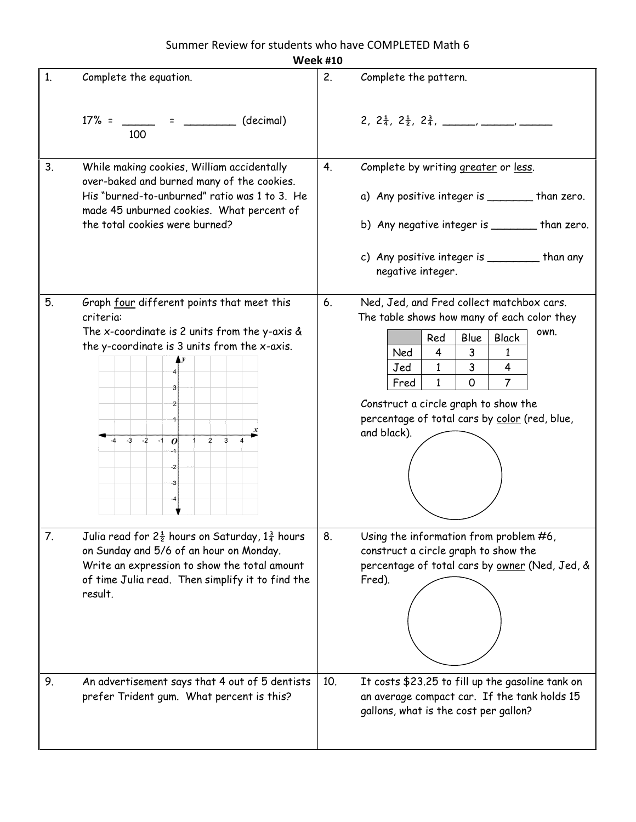### Summer Review for students who have COMPLETED Math 6

|                | <b>Week #10</b>                                                                                                                                                                                                                  |                                                                                                                                                                                                                                                                                                                                                                |  |  |  |
|----------------|----------------------------------------------------------------------------------------------------------------------------------------------------------------------------------------------------------------------------------|----------------------------------------------------------------------------------------------------------------------------------------------------------------------------------------------------------------------------------------------------------------------------------------------------------------------------------------------------------------|--|--|--|
| 1 <sub>1</sub> | Complete the equation.                                                                                                                                                                                                           | 2.<br>Complete the pattern.                                                                                                                                                                                                                                                                                                                                    |  |  |  |
|                | $17\% =$ $=$ $=$ $\qquad$ (decimal)<br>100                                                                                                                                                                                       |                                                                                                                                                                                                                                                                                                                                                                |  |  |  |
| 3.             | While making cookies, William accidentally<br>over-baked and burned many of the cookies.<br>His "burned-to-unburned" ratio was 1 to 3. He<br>made 45 unburned cookies. What percent of<br>the total cookies were burned?         | 4.<br>Complete by writing greater or less.<br>a) Any positive integer is _______ than zero.<br>b) Any negative integer is ______ than zero.<br>c) Any positive integer is __________ than any<br>negative integer.                                                                                                                                             |  |  |  |
| 5.             | Graph four different points that meet this<br>criteria:<br>The x-coordinate is 2 units from the y-axis $\&$<br>the y-coordinate is 3 units from the x-axis.<br>$-3 - 2$<br>3<br>$-1$<br>$\boldsymbol{o}$<br>$\overline{2}$<br>-3 | Ned, Jed, and Fred collect matchbox cars.<br>6.<br>The table shows how many of each color they<br>own.<br><b>Black</b><br>Red<br>Blue<br>Ned<br>4<br>3<br>1<br>4<br>$\mathbf{1}$<br>3<br>Jed<br>$\overline{7}$<br>$\mathbf{1}$<br>$\mathsf{O}$<br>Fred<br>Construct a circle graph to show the<br>percentage of total cars by color (red, blue,<br>and black). |  |  |  |
| 7.             | Julia read for $2\frac{1}{2}$ hours on Saturday, $1\frac{3}{4}$ hours<br>on Sunday and 5/6 of an hour on Monday.<br>Write an expression to show the total amount<br>of time Julia read. Then simplify it to find the<br>result.  | 8.<br>Using the information from problem #6,<br>construct a circle graph to show the<br>percentage of total cars by owner (Ned, Jed, &<br>Fred).                                                                                                                                                                                                               |  |  |  |
| 9.             | An advertisement says that 4 out of 5 dentists<br>prefer Trident gum. What percent is this?                                                                                                                                      | 10.<br>It costs \$23.25 to fill up the gasoline tank on<br>an average compact car. If the tank holds 15<br>gallons, what is the cost per gallon?                                                                                                                                                                                                               |  |  |  |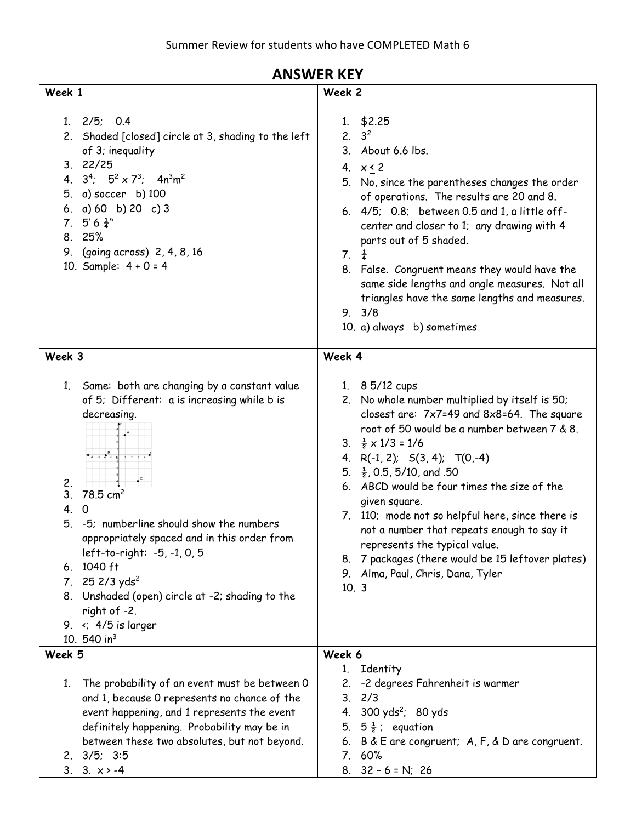#### 1. 2/5; 0.4 2. Shaded [closed] circle at 3, shading to the left of 3; inequality 4.  $3^4$ ;  $5^2 \times 7^3$ ;  $4n^3m^2$ **Week 2** 1. \$2.25 2.  $3^2$ 3. About 6.6 lbs. 4.  $x < 2$

# **ANSWER KEY**

| 5. No, since the parentheses changes the order |  |
|------------------------------------------------|--|
| of operations. The results are 20 and 8.       |  |

|  |                        | $6.$ 4/5; 0.8; between 0.5 and 1, a little off- |
|--|------------------------|-------------------------------------------------|
|  |                        | center and closer to 1; any drawing with 4      |
|  | parts out of 5 shaded. |                                                 |

#### 7.  $\frac{1}{4}$

8. False. Congruent means they would have the same side lengths and angle measures. Not all triangles have the same lengths and measures.

### 9. 3/8

10. a) always b) sometimes

#### **Week 3**

**Week 1**

3. 22/25

7.  $5' 6 \frac{1}{4}$ " 8. 25%

5. a) soccer b) 100 6. a) 60 b) 20 c) 3

10. Sample: 4 + 0 = 4

9. (going across) 2, 4, 8, 16

- 1. Same: both are changing by a constant value of 5; Different: a is increasing while b is decreasing.
	- $\frac{A^3}{3}$   $\frac{A}{3}$  $-437101234$
- 2. 3.  $78.5 \text{ cm}^2$
- 4. 0
- 5. -5; numberline should show the numbers appropriately spaced and in this order from left-to-right: -5, -1, 0, 5
- 6. 1040 ft
- 7.  $25 \frac{2}{3}$  yds<sup>2</sup>
- 8. Unshaded (open) circle at -2; shading to the right of -2.
- 

- 
- 
- 
- 9.  $\leftarrow$  4/5 is larger

## **Week 4**

- 1. 8 5/12 cups
- 2. No whole number multiplied by itself is 50; closest are: 7x7=49 and 8x8=64. The square root of 50 would be a number between 7 & 8. 3.  $\frac{1}{2} \times 1/3 = 1/6$
- 4. R(-1, 2); S(3, 4); T(0,-4)
- 5.  $\frac{1}{2}$ , 0.5, 5/10, and .50
- 6. ABCD would be four times the size of the given square.
- 7. 110; mode not so helpful here, since there is not a number that repeats enough to say it represents the typical value.
- 8. 7 packages (there would be 15 leftover plates)
- 9. Alma, Paul, Chris, Dana, Tyler
- 10. 3
- 10. 540 in<sup>3</sup> **Week 5** 1. The probability of an event must be between 0 and 1, because 0 represents no chance of the event happening, and 1 represents the event definitely happening. Probability may be in between these two absolutes, but not beyond. 2. 3/5; 3:5 3.  $3. \times > -4$ **Week 6** 1. Identity 2. -2 degrees Fahrenheit is warmer 3. 2/3 4. 300 yds<sup>2</sup>; 80 yds 5.  $5\frac{1}{2}$ ; equation 6. B & E are congruent; A, F, & D are congruent. 7. 60% 8. 32 – 6 = N; 26